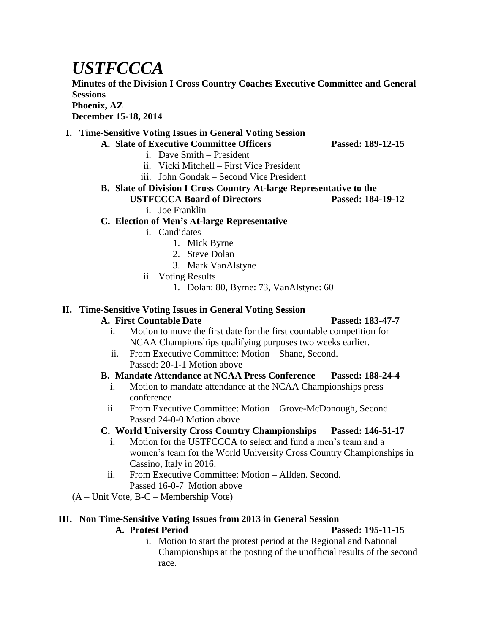# *USTFCCCA*

**Minutes of the Division I Cross Country Coaches Executive Committee and General Sessions**

**Phoenix, AZ**

**December 15-18, 2014**

#### **I. Time-Sensitive Voting Issues in General Voting Session**

**A. Slate of Executive Committee Officers Passed: 189-12-15** i. Dave Smith – President

- ii. Vicki Mitchell First Vice President
- iii. John Gondak Second Vice President
- 
- **B. Slate of Division I Cross Country At-large Representative to the** 
	- **USTFCCCA Board of Directors Passed: 184-19-12**

# i. Joe Franklin

### **C. Election of Men's At-large Representative**

- i. Candidates
	- 1. Mick Byrne
	- 2. Steve Dolan
	- 3. Mark VanAlstyne
- ii. Voting Results
	- 1. Dolan: 80, Byrne: 73, VanAlstyne: 60

# **II. Time-Sensitive Voting Issues in General Voting Session**

#### **A. First Countable Date Passed: 183-47-7**

- i. Motion to move the first date for the first countable competition for NCAA Championships qualifying purposes two weeks earlier.
- ii. From Executive Committee: Motion Shane, Second.
	- Passed: 20-1-1 Motion above

### **B. Mandate Attendance at NCAA Press Conference Passed: 188-24-4**

- i. Motion to mandate attendance at the NCAA Championships press conference
- ii. From Executive Committee: Motion Grove-McDonough, Second. Passed 24-0-0 Motion above

# **C. World University Cross Country Championships Passed: 146-51-17**

- i. Motion for the USTFCCCA to select and fund a men's team and a women's team for the World University Cross Country Championships in Cassino, Italy in 2016.
- ii. From Executive Committee: Motion Allden. Second. Passed 16-0-7 Motion above
- (A Unit Vote, B-C Membership Vote)

### **III. Non Time-Sensitive Voting Issues from 2013 in General Session**

### **A. Protest Period Passed: 195-11-15**

i. Motion to start the protest period at the Regional and National Championships at the posting of the unofficial results of the second race.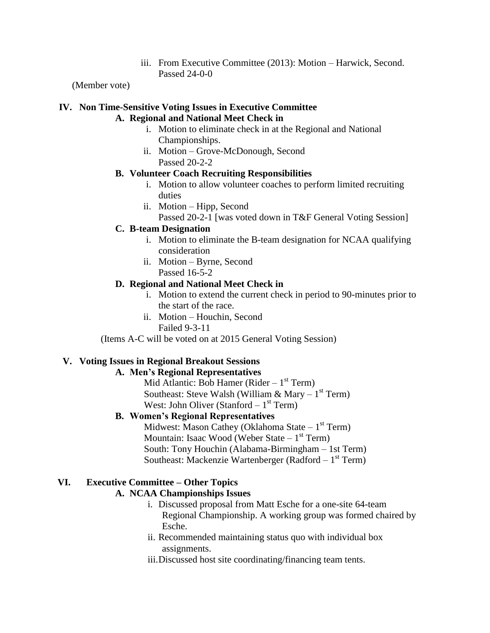iii. From Executive Committee (2013): Motion – Harwick, Second. Passed 24-0-0

(Member vote)

# **IV. Non Time-Sensitive Voting Issues in Executive Committee**

#### **A. Regional and National Meet Check in**

- i. Motion to eliminate check in at the Regional and National Championships.
- ii. Motion Grove-McDonough, Second Passed 20-2-2

#### **B. Volunteer Coach Recruiting Responsibilities**

- i. Motion to allow volunteer coaches to perform limited recruiting duties
- ii. Motion Hipp, Second
	- Passed 20-2-1 [was voted down in T&F General Voting Session]

#### **C. B-team Designation**

- i. Motion to eliminate the B-team designation for NCAA qualifying consideration
- ii. Motion Byrne, Second Passed 16-5-2

#### **D. Regional and National Meet Check in**

- i. Motion to extend the current check in period to 90-minutes prior to the start of the race.
- ii. Motion Houchin, Second Failed 9-3-11

(Items A-C will be voted on at 2015 General Voting Session)

#### **V. Voting Issues in Regional Breakout Sessions**

#### **A. Men's Regional Representatives**

Mid Atlantic: Bob Hamer (Rider  $-1^{st}$  Term) Southeast: Steve Walsh (William  $\&$  Mary – 1<sup>st</sup> Term) West: John Oliver (Stanford  $-1<sup>st</sup>$  Term)

#### **B. Women's Regional Representatives**

Midwest: Mason Cathey (Oklahoma State – 1<sup>st</sup> Term) Mountain: Isaac Wood (Weber State – 1<sup>st</sup> Term) South: Tony Houchin (Alabama-Birmingham – 1st Term) Southeast: Mackenzie Wartenberger (Radford – 1<sup>st</sup> Term)

#### **VI. Executive Committee – Other Topics**

#### **A. NCAA Championships Issues**

- i. Discussed proposal from Matt Esche for a one-site 64-team Regional Championship. A working group was formed chaired by Esche.
- ii. Recommended maintaining status quo with individual box assignments.
- iii.Discussed host site coordinating/financing team tents.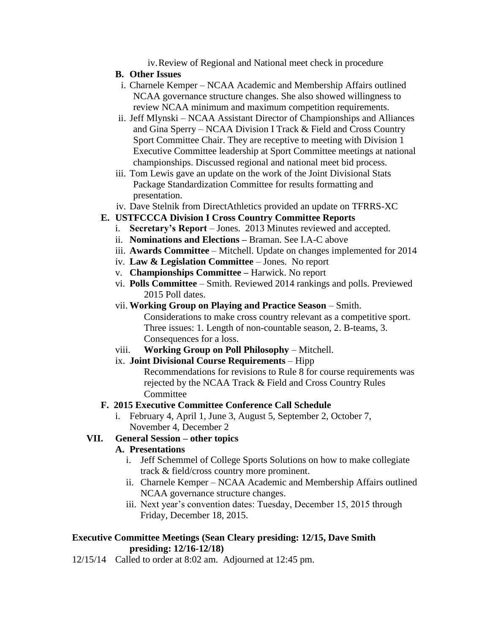iv.Review of Regional and National meet check in procedure

#### **B. Other Issues**

- i. Charnele Kemper NCAA Academic and Membership Affairs outlined NCAA governance structure changes. She also showed willingness to review NCAA minimum and maximum competition requirements.
- ii. Jeff Mlynski NCAA Assistant Director of Championships and Alliances and Gina Sperry – NCAA Division I Track & Field and Cross Country Sport Committee Chair. They are receptive to meeting with Division 1 Executive Committee leadership at Sport Committee meetings at national championships. Discussed regional and national meet bid process.
- iii. Tom Lewis gave an update on the work of the Joint Divisional Stats Package Standardization Committee for results formatting and presentation.
- iv. Dave Stelnik from DirectAthletics provided an update on TFRRS-XC

#### **E. USTFCCCA Division I Cross Country Committee Reports**

- i. **Secretary's Report** Jones. 2013 Minutes reviewed and accepted.
- ii. **Nominations and Elections –** Braman. See I.A-C above
- iii. **Awards Committee** Mitchell. Update on changes implemented for 2014
- iv. **Law & Legislation Committee**  Jones. No report
- v. **Championships Committee –** Harwick. No report
- vi. **Polls Committee** Smith. Reviewed 2014 rankings and polls. Previewed 2015 Poll dates.
- vii. **Working Group on Playing and Practice Season**  Smith.

Considerations to make cross country relevant as a competitive sport. Three issues: 1. Length of non-countable season, 2. B-teams, 3. Consequences for a loss.

- viii. **Working Group on Poll Philosophy**  Mitchell.
- ix. **Joint Divisional Course Requirements** Hipp

Recommendations for revisions to Rule 8 for course requirements was rejected by the NCAA Track & Field and Cross Country Rules **Committee** 

#### **F. 2015 Executive Committee Conference Call Schedule**

i. February 4, April 1, June 3, August 5, September 2, October 7, November 4, December 2

#### **VII. General Session – other topics**

#### **A. Presentations**

- i. Jeff Schemmel of College Sports Solutions on how to make collegiate track & field/cross country more prominent.
- ii. Charnele Kemper NCAA Academic and Membership Affairs outlined NCAA governance structure changes.
- iii. Next year's convention dates: Tuesday, December 15, 2015 through Friday, December 18, 2015.

#### **Executive Committee Meetings (Sean Cleary presiding: 12/15, Dave Smith presiding: 12/16-12/18)**

12/15/14 Called to order at 8:02 am. Adjourned at 12:45 pm.